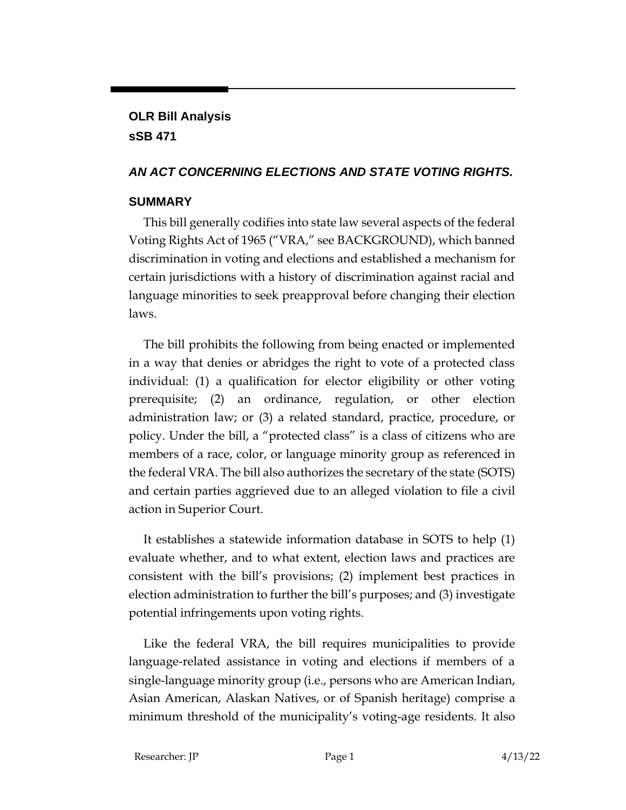# **OLR Bill Analysis sSB 471**

## *AN ACT CONCERNING ELECTIONS AND STATE VOTING RIGHTS.*

### **SUMMARY**

This bill generally codifies into state law several aspects of the federal Voting Rights Act of 1965 ("VRA," see BACKGROUND), which banned discrimination in voting and elections and established a mechanism for certain jurisdictions with a history of discrimination against racial and language minorities to seek preapproval before changing their election laws.

The bill prohibits the following from being enacted or implemented in a way that denies or abridges the right to vote of a protected class individual: (1) a qualification for elector eligibility or other voting prerequisite; (2) an ordinance, regulation, or other election administration law; or (3) a related standard, practice, procedure, or policy. Under the bill, a "protected class" is a class of citizens who are members of a race, color, or language minority group as referenced in the federal VRA. The bill also authorizes the secretary of the state (SOTS) and certain parties aggrieved due to an alleged violation to file a civil action in Superior Court.

It establishes a statewide information database in SOTS to help (1) evaluate whether, and to what extent, election laws and practices are consistent with the bill's provisions; (2) implement best practices in election administration to further the bill's purposes; and (3) investigate potential infringements upon voting rights.

Like the federal VRA, the bill requires municipalities to provide language-related assistance in voting and elections if members of a single-language minority group (i.e., persons who are American Indian, Asian American, Alaskan Natives, or of Spanish heritage) comprise a minimum threshold of the municipality's voting-age residents. It also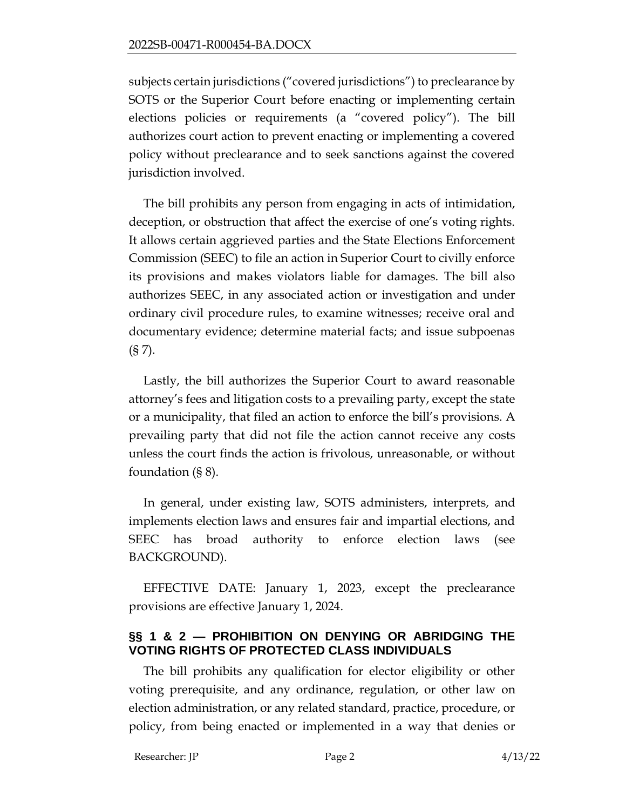subjects certain jurisdictions ("covered jurisdictions") to preclearance by SOTS or the Superior Court before enacting or implementing certain elections policies or requirements (a "covered policy"). The bill authorizes court action to prevent enacting or implementing a covered policy without preclearance and to seek sanctions against the covered jurisdiction involved.

The bill prohibits any person from engaging in acts of intimidation, deception, or obstruction that affect the exercise of one's voting rights. It allows certain aggrieved parties and the State Elections Enforcement Commission (SEEC) to file an action in Superior Court to civilly enforce its provisions and makes violators liable for damages. The bill also authorizes SEEC, in any associated action or investigation and under ordinary civil procedure rules, to examine witnesses; receive oral and documentary evidence; determine material facts; and issue subpoenas  $(S 7)$ .

Lastly, the bill authorizes the Superior Court to award reasonable attorney's fees and litigation costs to a prevailing party, except the state or a municipality, that filed an action to enforce the bill's provisions. A prevailing party that did not file the action cannot receive any costs unless the court finds the action is frivolous, unreasonable, or without foundation (§ 8).

In general, under existing law, SOTS administers, interprets, and implements election laws and ensures fair and impartial elections, and SEEC has broad authority to enforce election laws (see BACKGROUND).

EFFECTIVE DATE: January 1, 2023, except the preclearance provisions are effective January 1, 2024.

# **§§ 1 & 2 — PROHIBITION ON DENYING OR ABRIDGING THE VOTING RIGHTS OF PROTECTED CLASS INDIVIDUALS**

The bill prohibits any qualification for elector eligibility or other voting prerequisite, and any ordinance, regulation, or other law on election administration, or any related standard, practice, procedure, or policy, from being enacted or implemented in a way that denies or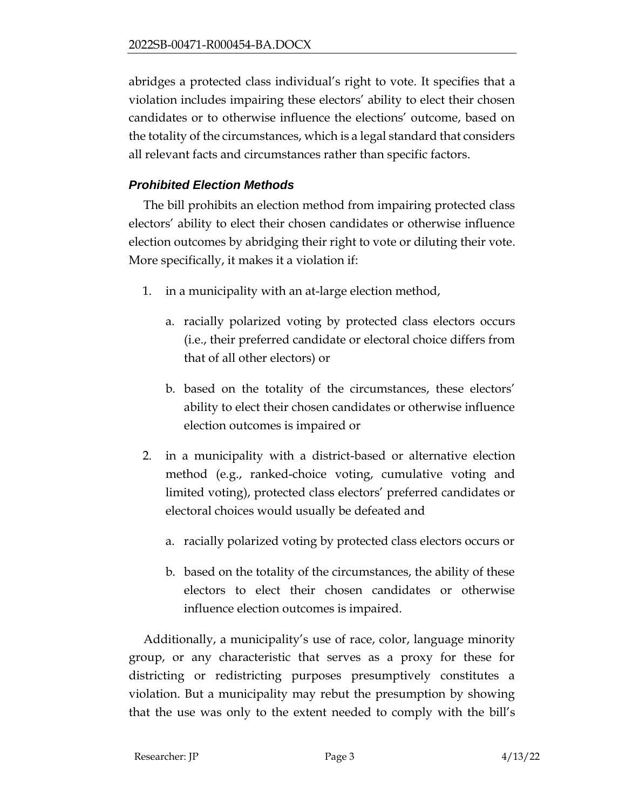abridges a protected class individual's right to vote. It specifies that a violation includes impairing these electors' ability to elect their chosen candidates or to otherwise influence the elections' outcome, based on the totality of the circumstances, which is a legal standard that considers all relevant facts and circumstances rather than specific factors.

# *Prohibited Election Methods*

The bill prohibits an election method from impairing protected class electors' ability to elect their chosen candidates or otherwise influence election outcomes by abridging their right to vote or diluting their vote. More specifically, it makes it a violation if:

- 1. in a municipality with an at-large election method,
	- a. racially polarized voting by protected class electors occurs (i.e., their preferred candidate or electoral choice differs from that of all other electors) or
	- b. based on the totality of the circumstances, these electors' ability to elect their chosen candidates or otherwise influence election outcomes is impaired or
- 2. in a municipality with a district-based or alternative election method (e.g., ranked-choice voting, cumulative voting and limited voting), protected class electors' preferred candidates or electoral choices would usually be defeated and
	- a. racially polarized voting by protected class electors occurs or
	- b. based on the totality of the circumstances, the ability of these electors to elect their chosen candidates or otherwise influence election outcomes is impaired.

Additionally, a municipality's use of race, color, language minority group, or any characteristic that serves as a proxy for these for districting or redistricting purposes presumptively constitutes a violation. But a municipality may rebut the presumption by showing that the use was only to the extent needed to comply with the bill's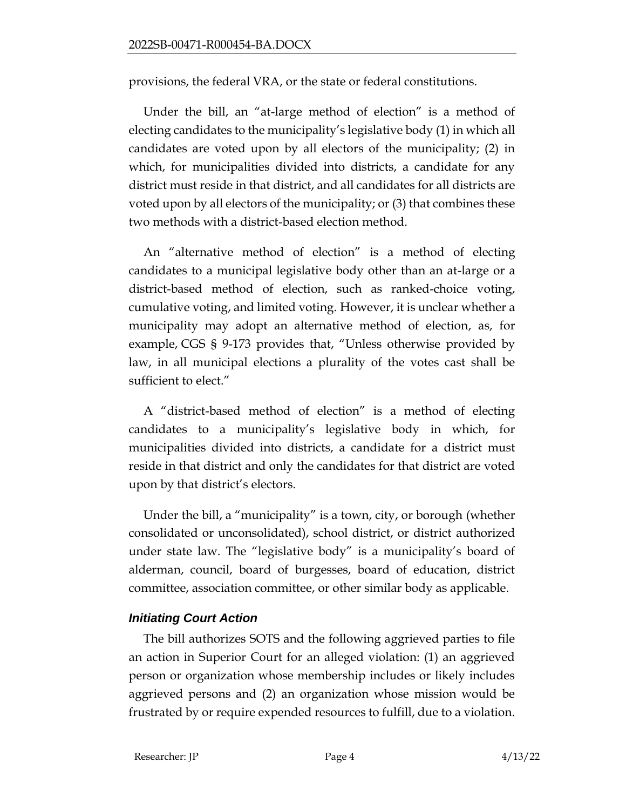provisions, the federal VRA, or the state or federal constitutions.

Under the bill, an "at-large method of election" is a method of electing candidates to the municipality's legislative body (1) in which all candidates are voted upon by all electors of the municipality; (2) in which, for municipalities divided into districts, a candidate for any district must reside in that district, and all candidates for all districts are voted upon by all electors of the municipality; or (3) that combines these two methods with a district-based election method.

An "alternative method of election" is a method of electing candidates to a municipal legislative body other than an at-large or a district-based method of election, such as ranked-choice voting, cumulative voting, and limited voting. However, it is unclear whether a municipality may adopt an alternative method of election, as, for example, CGS § 9-173 provides that, "Unless otherwise provided by law, in all municipal elections a plurality of the votes cast shall be sufficient to elect."

A "district-based method of election" is a method of electing candidates to a municipality's legislative body in which, for municipalities divided into districts, a candidate for a district must reside in that district and only the candidates for that district are voted upon by that district's electors.

Under the bill, a "municipality" is a town, city, or borough (whether consolidated or unconsolidated), school district, or district authorized under state law. The "legislative body" is a municipality's board of alderman, council, board of burgesses, board of education, district committee, association committee, or other similar body as applicable.

## *Initiating Court Action*

The bill authorizes SOTS and the following aggrieved parties to file an action in Superior Court for an alleged violation: (1) an aggrieved person or organization whose membership includes or likely includes aggrieved persons and (2) an organization whose mission would be frustrated by or require expended resources to fulfill, due to a violation.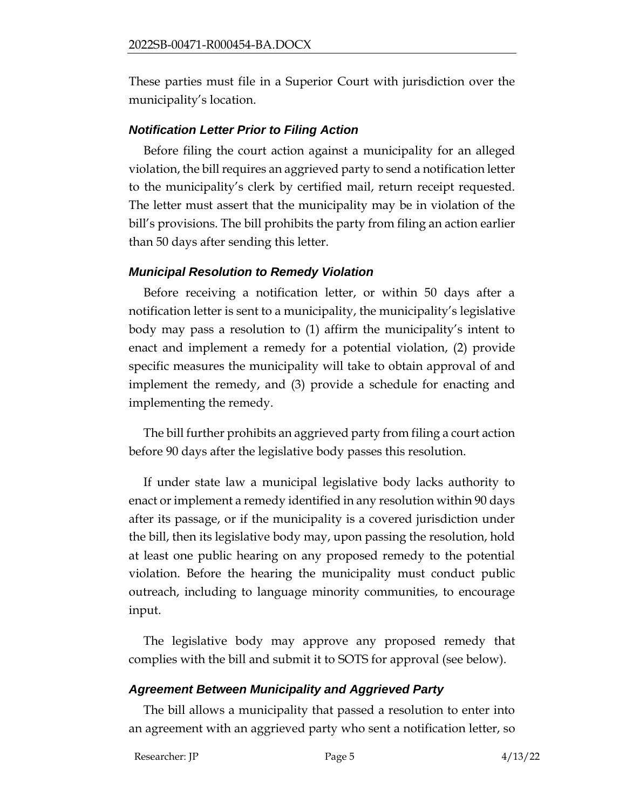These parties must file in a Superior Court with jurisdiction over the municipality's location.

## *Notification Letter Prior to Filing Action*

Before filing the court action against a municipality for an alleged violation, the bill requires an aggrieved party to send a notification letter to the municipality's clerk by certified mail, return receipt requested. The letter must assert that the municipality may be in violation of the bill's provisions. The bill prohibits the party from filing an action earlier than 50 days after sending this letter.

#### *Municipal Resolution to Remedy Violation*

Before receiving a notification letter, or within 50 days after a notification letter is sent to a municipality, the municipality's legislative body may pass a resolution to (1) affirm the municipality's intent to enact and implement a remedy for a potential violation, (2) provide specific measures the municipality will take to obtain approval of and implement the remedy, and (3) provide a schedule for enacting and implementing the remedy.

The bill further prohibits an aggrieved party from filing a court action before 90 days after the legislative body passes this resolution.

If under state law a municipal legislative body lacks authority to enact or implement a remedy identified in any resolution within 90 days after its passage, or if the municipality is a covered jurisdiction under the bill, then its legislative body may, upon passing the resolution, hold at least one public hearing on any proposed remedy to the potential violation. Before the hearing the municipality must conduct public outreach, including to language minority communities, to encourage input.

The legislative body may approve any proposed remedy that complies with the bill and submit it to SOTS for approval (see below).

## *Agreement Between Municipality and Aggrieved Party*

The bill allows a municipality that passed a resolution to enter into an agreement with an aggrieved party who sent a notification letter, so

Researcher: JP Page 5 4/13/22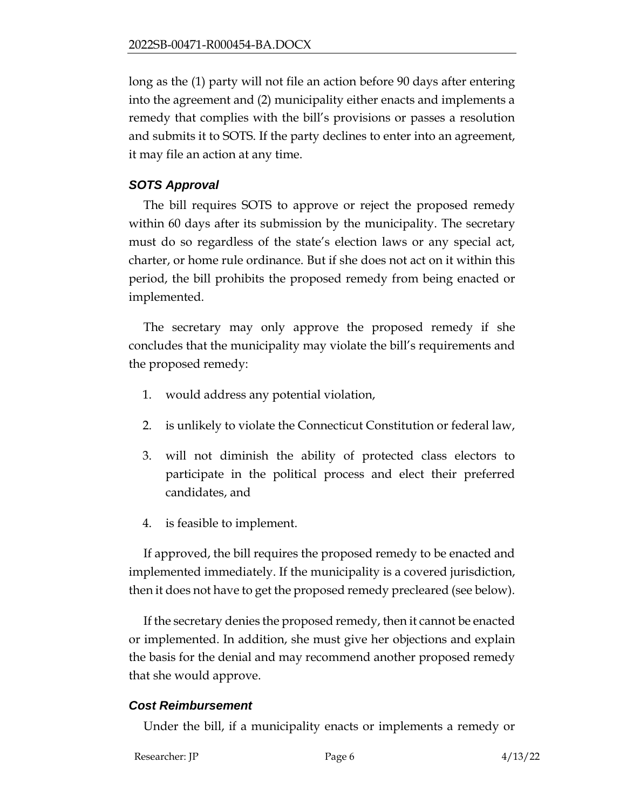long as the (1) party will not file an action before 90 days after entering into the agreement and (2) municipality either enacts and implements a remedy that complies with the bill's provisions or passes a resolution and submits it to SOTS. If the party declines to enter into an agreement, it may file an action at any time.

## *SOTS Approval*

The bill requires SOTS to approve or reject the proposed remedy within 60 days after its submission by the municipality. The secretary must do so regardless of the state's election laws or any special act, charter, or home rule ordinance. But if she does not act on it within this period, the bill prohibits the proposed remedy from being enacted or implemented.

The secretary may only approve the proposed remedy if she concludes that the municipality may violate the bill's requirements and the proposed remedy:

- 1. would address any potential violation,
- 2. is unlikely to violate the Connecticut Constitution or federal law,
- 3. will not diminish the ability of protected class electors to participate in the political process and elect their preferred candidates, and
- 4. is feasible to implement.

If approved, the bill requires the proposed remedy to be enacted and implemented immediately. If the municipality is a covered jurisdiction, then it does not have to get the proposed remedy precleared (see below).

If the secretary denies the proposed remedy, then it cannot be enacted or implemented. In addition, she must give her objections and explain the basis for the denial and may recommend another proposed remedy that she would approve.

## *Cost Reimbursement*

Under the bill, if a municipality enacts or implements a remedy or

```
Researcher: JP Page 6 4/13/22
```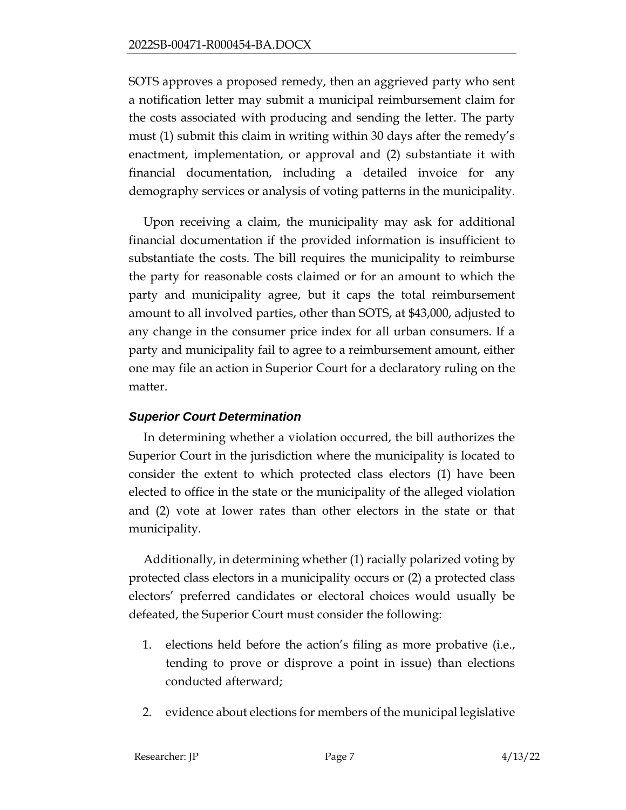SOTS approves a proposed remedy, then an aggrieved party who sent a notification letter may submit a municipal reimbursement claim for the costs associated with producing and sending the letter. The party must (1) submit this claim in writing within 30 days after the remedy's enactment, implementation, or approval and (2) substantiate it with financial documentation, including a detailed invoice for any demography services or analysis of voting patterns in the municipality.

Upon receiving a claim, the municipality may ask for additional financial documentation if the provided information is insufficient to substantiate the costs. The bill requires the municipality to reimburse the party for reasonable costs claimed or for an amount to which the party and municipality agree, but it caps the total reimbursement amount to all involved parties, other than SOTS, at \$43,000, adjusted to any change in the consumer price index for all urban consumers. If a party and municipality fail to agree to a reimbursement amount, either one may file an action in Superior Court for a declaratory ruling on the matter.

## *Superior Court Determination*

In determining whether a violation occurred, the bill authorizes the Superior Court in the jurisdiction where the municipality is located to consider the extent to which protected class electors (1) have been elected to office in the state or the municipality of the alleged violation and (2) vote at lower rates than other electors in the state or that municipality.

Additionally, in determining whether (1) racially polarized voting by protected class electors in a municipality occurs or (2) a protected class electors' preferred candidates or electoral choices would usually be defeated, the Superior Court must consider the following:

- 1. elections held before the action's filing as more probative (i.e., tending to prove or disprove a point in issue) than elections conducted afterward;
- 2. evidence about elections for members of the municipal legislative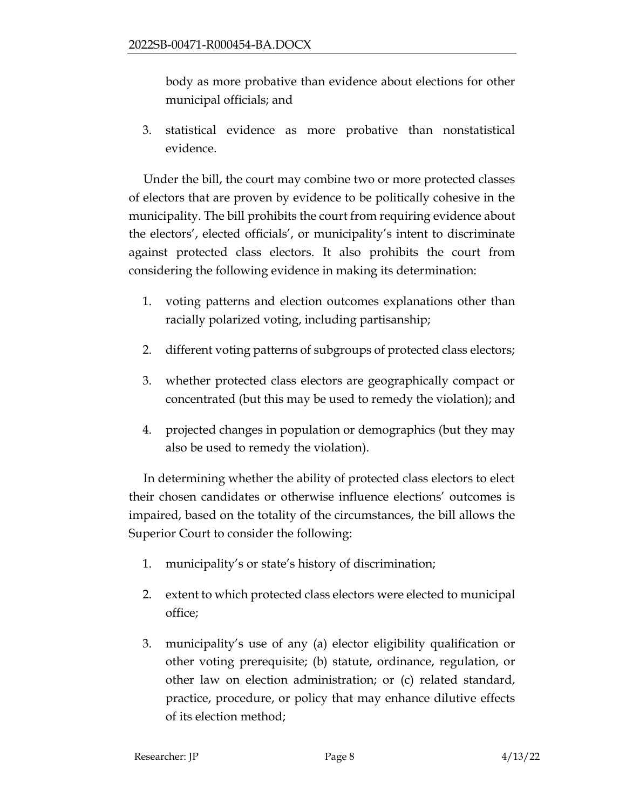body as more probative than evidence about elections for other municipal officials; and

3. statistical evidence as more probative than nonstatistical evidence.

Under the bill, the court may combine two or more protected classes of electors that are proven by evidence to be politically cohesive in the municipality. The bill prohibits the court from requiring evidence about the electors', elected officials', or municipality's intent to discriminate against protected class electors. It also prohibits the court from considering the following evidence in making its determination:

- 1. voting patterns and election outcomes explanations other than racially polarized voting, including partisanship;
- 2. different voting patterns of subgroups of protected class electors;
- 3. whether protected class electors are geographically compact or concentrated (but this may be used to remedy the violation); and
- 4. projected changes in population or demographics (but they may also be used to remedy the violation).

In determining whether the ability of protected class electors to elect their chosen candidates or otherwise influence elections' outcomes is impaired, based on the totality of the circumstances, the bill allows the Superior Court to consider the following:

- 1. municipality's or state's history of discrimination;
- 2. extent to which protected class electors were elected to municipal office;
- 3. municipality's use of any (a) elector eligibility qualification or other voting prerequisite; (b) statute, ordinance, regulation, or other law on election administration; or (c) related standard, practice, procedure, or policy that may enhance dilutive effects of its election method;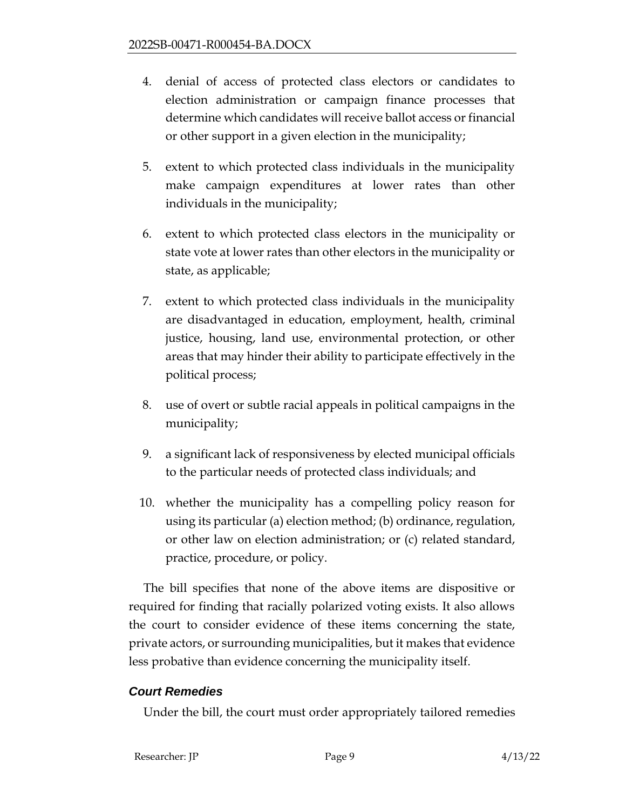- 4. denial of access of protected class electors or candidates to election administration or campaign finance processes that determine which candidates will receive ballot access or financial or other support in a given election in the municipality;
- 5. extent to which protected class individuals in the municipality make campaign expenditures at lower rates than other individuals in the municipality;
- 6. extent to which protected class electors in the municipality or state vote at lower rates than other electors in the municipality or state, as applicable;
- 7. extent to which protected class individuals in the municipality are disadvantaged in education, employment, health, criminal justice, housing, land use, environmental protection, or other areas that may hinder their ability to participate effectively in the political process;
- 8. use of overt or subtle racial appeals in political campaigns in the municipality;
- 9. a significant lack of responsiveness by elected municipal officials to the particular needs of protected class individuals; and
- 10. whether the municipality has a compelling policy reason for using its particular (a) election method; (b) ordinance, regulation, or other law on election administration; or (c) related standard, practice, procedure, or policy.

The bill specifies that none of the above items are dispositive or required for finding that racially polarized voting exists. It also allows the court to consider evidence of these items concerning the state, private actors, or surrounding municipalities, but it makes that evidence less probative than evidence concerning the municipality itself.

## *Court Remedies*

Under the bill, the court must order appropriately tailored remedies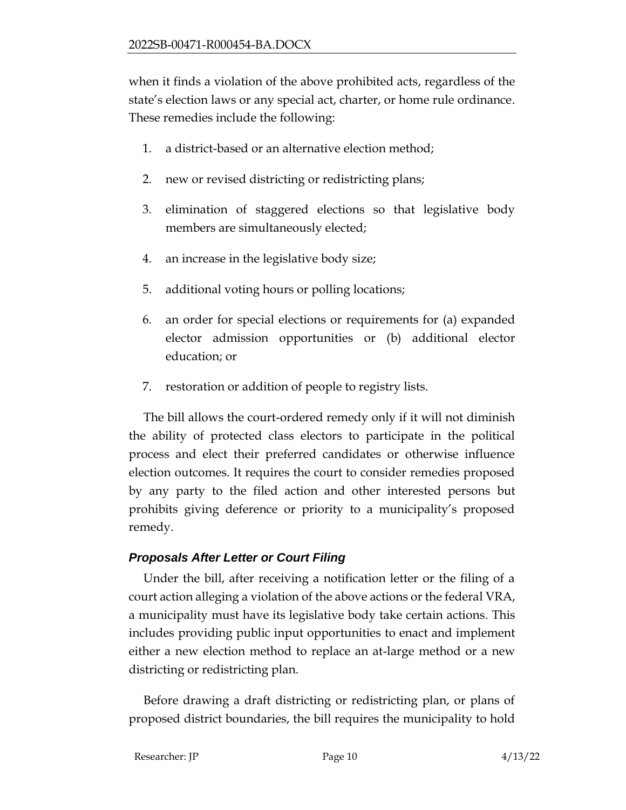when it finds a violation of the above prohibited acts, regardless of the state's election laws or any special act, charter, or home rule ordinance. These remedies include the following:

- 1. a district-based or an alternative election method;
- 2. new or revised districting or redistricting plans;
- 3. elimination of staggered elections so that legislative body members are simultaneously elected;
- 4. an increase in the legislative body size;
- 5. additional voting hours or polling locations;
- 6. an order for special elections or requirements for (a) expanded elector admission opportunities or (b) additional elector education; or
- 7. restoration or addition of people to registry lists.

The bill allows the court-ordered remedy only if it will not diminish the ability of protected class electors to participate in the political process and elect their preferred candidates or otherwise influence election outcomes. It requires the court to consider remedies proposed by any party to the filed action and other interested persons but prohibits giving deference or priority to a municipality's proposed remedy.

# *Proposals After Letter or Court Filing*

Under the bill, after receiving a notification letter or the filing of a court action alleging a violation of the above actions or the federal VRA, a municipality must have its legislative body take certain actions. This includes providing public input opportunities to enact and implement either a new election method to replace an at-large method or a new districting or redistricting plan.

Before drawing a draft districting or redistricting plan, or plans of proposed district boundaries, the bill requires the municipality to hold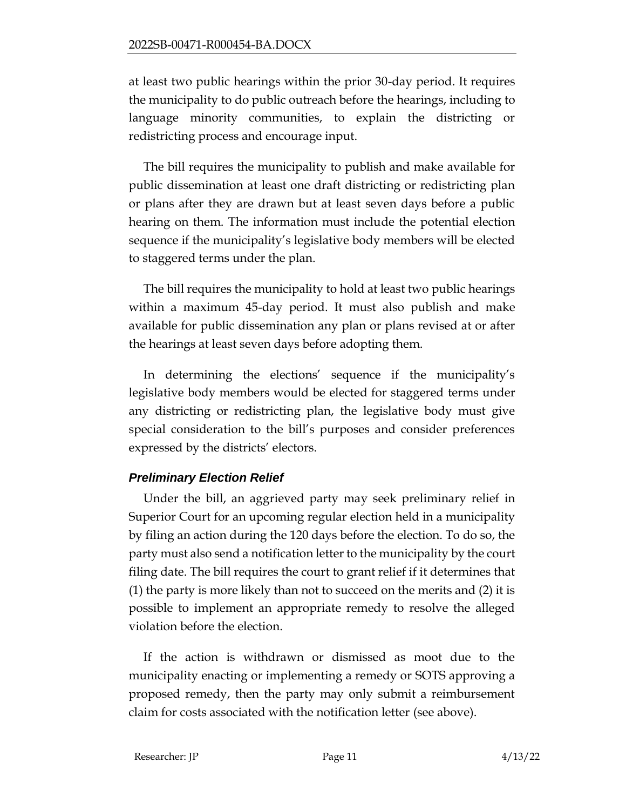at least two public hearings within the prior 30-day period. It requires the municipality to do public outreach before the hearings, including to language minority communities, to explain the districting or redistricting process and encourage input.

The bill requires the municipality to publish and make available for public dissemination at least one draft districting or redistricting plan or plans after they are drawn but at least seven days before a public hearing on them. The information must include the potential election sequence if the municipality's legislative body members will be elected to staggered terms under the plan.

The bill requires the municipality to hold at least two public hearings within a maximum 45-day period. It must also publish and make available for public dissemination any plan or plans revised at or after the hearings at least seven days before adopting them.

In determining the elections' sequence if the municipality's legislative body members would be elected for staggered terms under any districting or redistricting plan, the legislative body must give special consideration to the bill's purposes and consider preferences expressed by the districts' electors.

# *Preliminary Election Relief*

Under the bill, an aggrieved party may seek preliminary relief in Superior Court for an upcoming regular election held in a municipality by filing an action during the 120 days before the election. To do so, the party must also send a notification letter to the municipality by the court filing date. The bill requires the court to grant relief if it determines that (1) the party is more likely than not to succeed on the merits and (2) it is possible to implement an appropriate remedy to resolve the alleged violation before the election.

If the action is withdrawn or dismissed as moot due to the municipality enacting or implementing a remedy or SOTS approving a proposed remedy, then the party may only submit a reimbursement claim for costs associated with the notification letter (see above).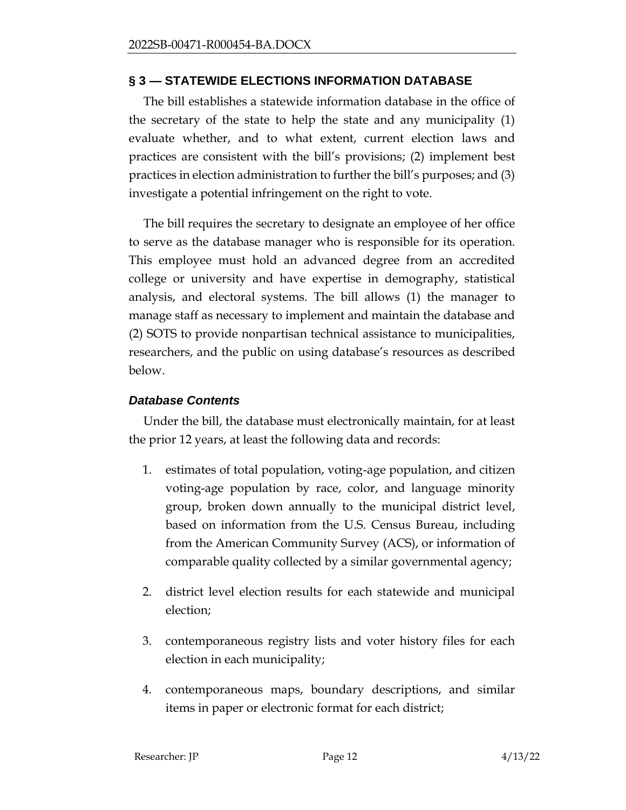### **§ 3 — STATEWIDE ELECTIONS INFORMATION DATABASE**

The bill establishes a statewide information database in the office of the secretary of the state to help the state and any municipality (1) evaluate whether, and to what extent, current election laws and practices are consistent with the bill's provisions; (2) implement best practices in election administration to further the bill's purposes; and (3) investigate a potential infringement on the right to vote.

The bill requires the secretary to designate an employee of her office to serve as the database manager who is responsible for its operation. This employee must hold an advanced degree from an accredited college or university and have expertise in demography, statistical analysis, and electoral systems. The bill allows (1) the manager to manage staff as necessary to implement and maintain the database and (2) SOTS to provide nonpartisan technical assistance to municipalities, researchers, and the public on using database's resources as described below.

## *Database Contents*

Under the bill, the database must electronically maintain, for at least the prior 12 years, at least the following data and records:

- 1. estimates of total population, voting-age population, and citizen voting-age population by race, color, and language minority group, broken down annually to the municipal district level, based on information from the U.S. Census Bureau, including from the American Community Survey (ACS), or information of comparable quality collected by a similar governmental agency;
- 2. district level election results for each statewide and municipal election;
- 3. contemporaneous registry lists and voter history files for each election in each municipality;
- 4. contemporaneous maps, boundary descriptions, and similar items in paper or electronic format for each district;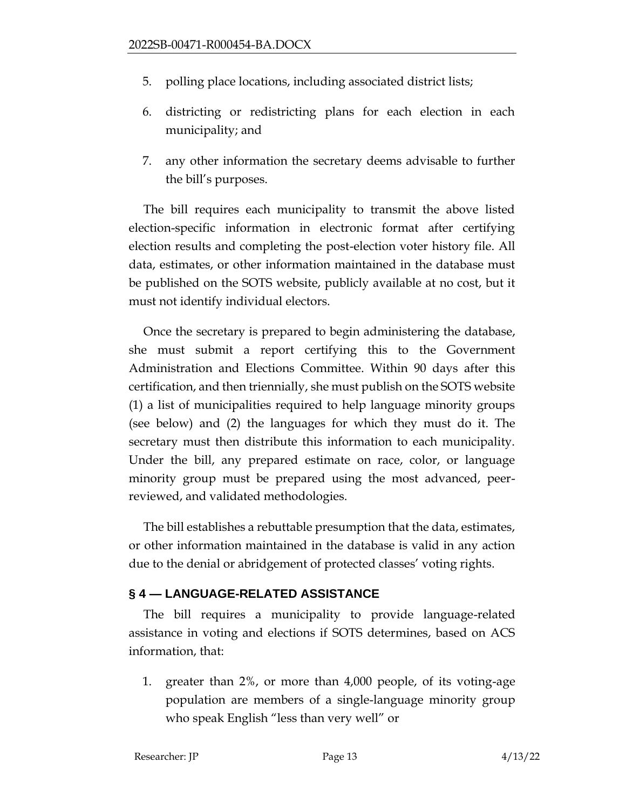- 5. polling place locations, including associated district lists;
- 6. districting or redistricting plans for each election in each municipality; and
- 7. any other information the secretary deems advisable to further the bill's purposes.

The bill requires each municipality to transmit the above listed election-specific information in electronic format after certifying election results and completing the post-election voter history file. All data, estimates, or other information maintained in the database must be published on the SOTS website, publicly available at no cost, but it must not identify individual electors.

Once the secretary is prepared to begin administering the database, she must submit a report certifying this to the Government Administration and Elections Committee. Within 90 days after this certification, and then triennially, she must publish on the SOTS website (1) a list of municipalities required to help language minority groups (see below) and (2) the languages for which they must do it. The secretary must then distribute this information to each municipality. Under the bill, any prepared estimate on race, color, or language minority group must be prepared using the most advanced, peerreviewed, and validated methodologies.

The bill establishes a rebuttable presumption that the data, estimates, or other information maintained in the database is valid in any action due to the denial or abridgement of protected classes' voting rights.

## **§ 4 — LANGUAGE-RELATED ASSISTANCE**

The bill requires a municipality to provide language-related assistance in voting and elections if SOTS determines, based on ACS information, that:

1. greater than 2%, or more than 4,000 people, of its voting-age population are members of a single-language minority group who speak English "less than very well" or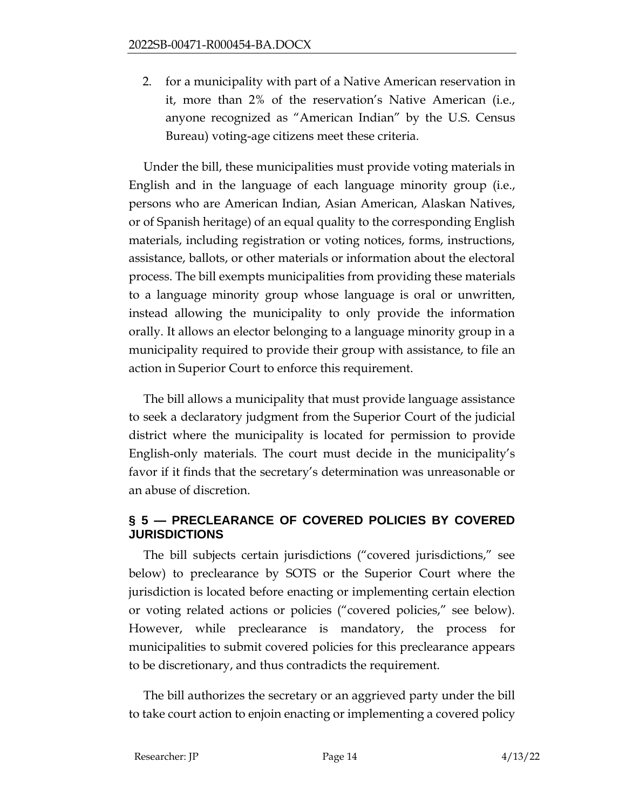2. for a municipality with part of a Native American reservation in it, more than 2% of the reservation's Native American (i.e., anyone recognized as "American Indian" by the U.S. Census Bureau) voting-age citizens meet these criteria.

Under the bill, these municipalities must provide voting materials in English and in the language of each language minority group (i.e., persons who are American Indian, Asian American, Alaskan Natives, or of Spanish heritage) of an equal quality to the corresponding English materials, including registration or voting notices, forms, instructions, assistance, ballots, or other materials or information about the electoral process. The bill exempts municipalities from providing these materials to a language minority group whose language is oral or unwritten, instead allowing the municipality to only provide the information orally. It allows an elector belonging to a language minority group in a municipality required to provide their group with assistance, to file an action in Superior Court to enforce this requirement.

The bill allows a municipality that must provide language assistance to seek a declaratory judgment from the Superior Court of the judicial district where the municipality is located for permission to provide English-only materials. The court must decide in the municipality's favor if it finds that the secretary's determination was unreasonable or an abuse of discretion.

## **§ 5 — PRECLEARANCE OF COVERED POLICIES BY COVERED JURISDICTIONS**

The bill subjects certain jurisdictions ("covered jurisdictions," see below) to preclearance by SOTS or the Superior Court where the jurisdiction is located before enacting or implementing certain election or voting related actions or policies ("covered policies," see below). However, while preclearance is mandatory, the process for municipalities to submit covered policies for this preclearance appears to be discretionary, and thus contradicts the requirement.

The bill authorizes the secretary or an aggrieved party under the bill to take court action to enjoin enacting or implementing a covered policy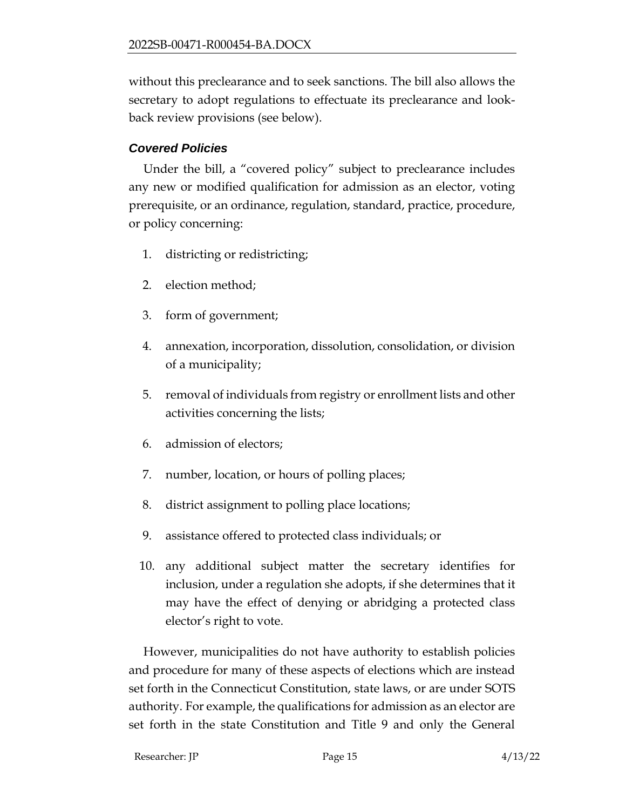without this preclearance and to seek sanctions. The bill also allows the secretary to adopt regulations to effectuate its preclearance and lookback review provisions (see below).

## *Covered Policies*

Under the bill, a "covered policy" subject to preclearance includes any new or modified qualification for admission as an elector, voting prerequisite, or an ordinance, regulation, standard, practice, procedure, or policy concerning:

- 1. districting or redistricting;
- 2. election method;
- 3. form of government;
- 4. annexation, incorporation, dissolution, consolidation, or division of a municipality;
- 5. removal of individuals from registry or enrollment lists and other activities concerning the lists;
- 6. admission of electors;
- 7. number, location, or hours of polling places;
- 8. district assignment to polling place locations;
- 9. assistance offered to protected class individuals; or
- 10. any additional subject matter the secretary identifies for inclusion, under a regulation she adopts, if she determines that it may have the effect of denying or abridging a protected class elector's right to vote.

However, municipalities do not have authority to establish policies and procedure for many of these aspects of elections which are instead set forth in the Connecticut Constitution, state laws, or are under SOTS authority. For example, the qualifications for admission as an elector are set forth in the state Constitution and Title 9 and only the General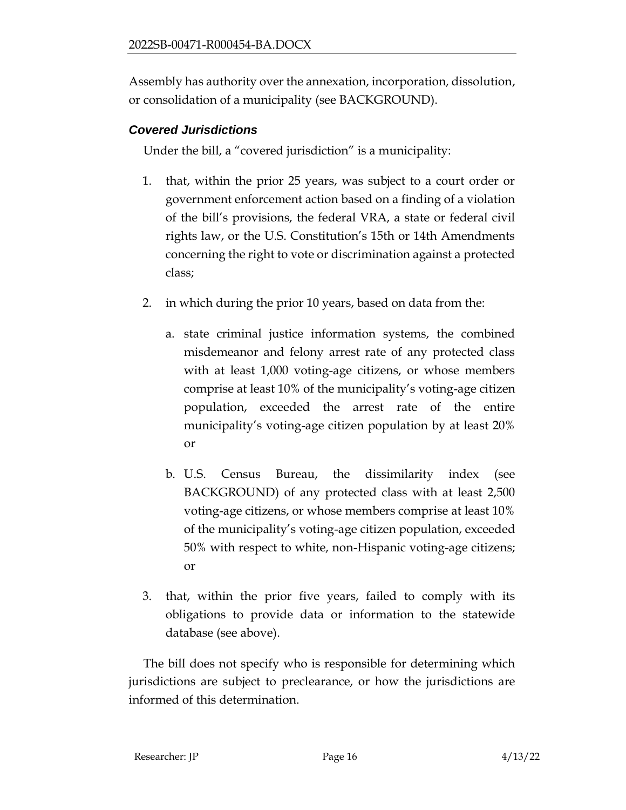Assembly has authority over the annexation, incorporation, dissolution, or consolidation of a municipality (see BACKGROUND).

## *Covered Jurisdictions*

Under the bill, a "covered jurisdiction" is a municipality:

- 1. that, within the prior 25 years, was subject to a court order or government enforcement action based on a finding of a violation of the bill's provisions, the federal VRA, a state or federal civil rights law, or the U.S. Constitution's 15th or 14th Amendments concerning the right to vote or discrimination against a protected class;
- 2. in which during the prior 10 years, based on data from the:
	- a. state criminal justice information systems, the combined misdemeanor and felony arrest rate of any protected class with at least 1,000 voting-age citizens, or whose members comprise at least 10% of the municipality's voting-age citizen population, exceeded the arrest rate of the entire municipality's voting-age citizen population by at least 20% or
	- b. U.S. Census Bureau, the dissimilarity index (see BACKGROUND) of any protected class with at least 2,500 voting-age citizens, or whose members comprise at least 10% of the municipality's voting-age citizen population, exceeded 50% with respect to white, non-Hispanic voting-age citizens; or
- 3. that, within the prior five years, failed to comply with its obligations to provide data or information to the statewide database (see above).

The bill does not specify who is responsible for determining which jurisdictions are subject to preclearance, or how the jurisdictions are informed of this determination.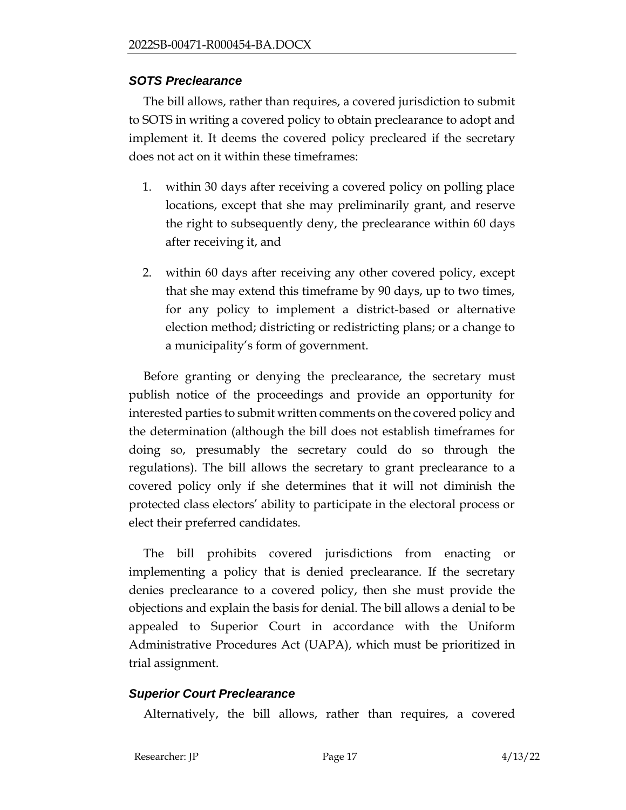#### *SOTS Preclearance*

The bill allows, rather than requires, a covered jurisdiction to submit to SOTS in writing a covered policy to obtain preclearance to adopt and implement it. It deems the covered policy precleared if the secretary does not act on it within these timeframes:

- 1. within 30 days after receiving a covered policy on polling place locations, except that she may preliminarily grant, and reserve the right to subsequently deny, the preclearance within 60 days after receiving it, and
- 2. within 60 days after receiving any other covered policy, except that she may extend this timeframe by 90 days, up to two times, for any policy to implement a district-based or alternative election method; districting or redistricting plans; or a change to a municipality's form of government.

Before granting or denying the preclearance, the secretary must publish notice of the proceedings and provide an opportunity for interested parties to submit written comments on the covered policy and the determination (although the bill does not establish timeframes for doing so, presumably the secretary could do so through the regulations). The bill allows the secretary to grant preclearance to a covered policy only if she determines that it will not diminish the protected class electors' ability to participate in the electoral process or elect their preferred candidates.

The bill prohibits covered jurisdictions from enacting or implementing a policy that is denied preclearance. If the secretary denies preclearance to a covered policy, then she must provide the objections and explain the basis for denial. The bill allows a denial to be appealed to Superior Court in accordance with the Uniform Administrative Procedures Act (UAPA), which must be prioritized in trial assignment.

## *Superior Court Preclearance*

Alternatively, the bill allows, rather than requires, a covered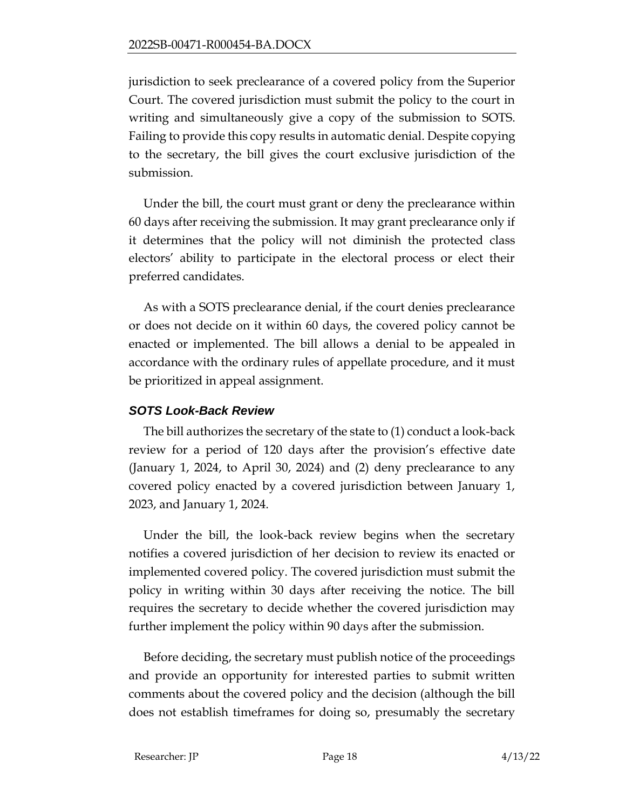jurisdiction to seek preclearance of a covered policy from the Superior Court. The covered jurisdiction must submit the policy to the court in writing and simultaneously give a copy of the submission to SOTS. Failing to provide this copy results in automatic denial. Despite copying to the secretary, the bill gives the court exclusive jurisdiction of the submission.

Under the bill, the court must grant or deny the preclearance within 60 days after receiving the submission. It may grant preclearance only if it determines that the policy will not diminish the protected class electors' ability to participate in the electoral process or elect their preferred candidates.

As with a SOTS preclearance denial, if the court denies preclearance or does not decide on it within 60 days, the covered policy cannot be enacted or implemented. The bill allows a denial to be appealed in accordance with the ordinary rules of appellate procedure, and it must be prioritized in appeal assignment.

## *SOTS Look-Back Review*

The bill authorizes the secretary of the state to (1) conduct a look-back review for a period of 120 days after the provision's effective date (January 1, 2024, to April 30, 2024) and (2) deny preclearance to any covered policy enacted by a covered jurisdiction between January 1, 2023, and January 1, 2024.

Under the bill, the look-back review begins when the secretary notifies a covered jurisdiction of her decision to review its enacted or implemented covered policy. The covered jurisdiction must submit the policy in writing within 30 days after receiving the notice. The bill requires the secretary to decide whether the covered jurisdiction may further implement the policy within 90 days after the submission.

Before deciding, the secretary must publish notice of the proceedings and provide an opportunity for interested parties to submit written comments about the covered policy and the decision (although the bill does not establish timeframes for doing so, presumably the secretary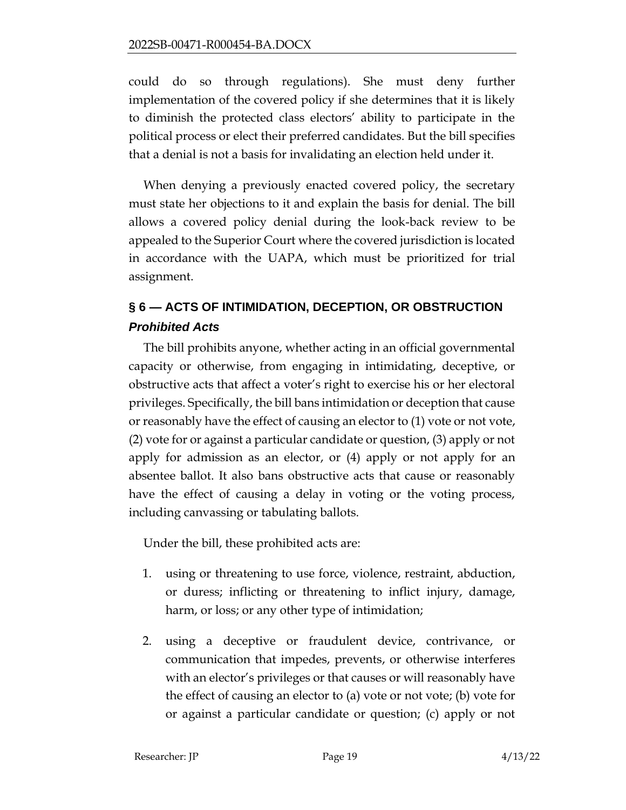could do so through regulations). She must deny further implementation of the covered policy if she determines that it is likely to diminish the protected class electors' ability to participate in the political process or elect their preferred candidates. But the bill specifies that a denial is not a basis for invalidating an election held under it.

When denying a previously enacted covered policy, the secretary must state her objections to it and explain the basis for denial. The bill allows a covered policy denial during the look-back review to be appealed to the Superior Court where the covered jurisdiction is located in accordance with the UAPA, which must be prioritized for trial assignment.

# **§ 6 — ACTS OF INTIMIDATION, DECEPTION, OR OBSTRUCTION** *Prohibited Acts*

The bill prohibits anyone, whether acting in an official governmental capacity or otherwise, from engaging in intimidating, deceptive, or obstructive acts that affect a voter's right to exercise his or her electoral privileges. Specifically, the bill bans intimidation or deception that cause or reasonably have the effect of causing an elector to (1) vote or not vote, (2) vote for or against a particular candidate or question, (3) apply or not apply for admission as an elector, or (4) apply or not apply for an absentee ballot. It also bans obstructive acts that cause or reasonably have the effect of causing a delay in voting or the voting process, including canvassing or tabulating ballots.

Under the bill, these prohibited acts are:

- 1. using or threatening to use force, violence, restraint, abduction, or duress; inflicting or threatening to inflict injury, damage, harm, or loss; or any other type of intimidation;
- 2. using a deceptive or fraudulent device, contrivance, or communication that impedes, prevents, or otherwise interferes with an elector's privileges or that causes or will reasonably have the effect of causing an elector to (a) vote or not vote; (b) vote for or against a particular candidate or question; (c) apply or not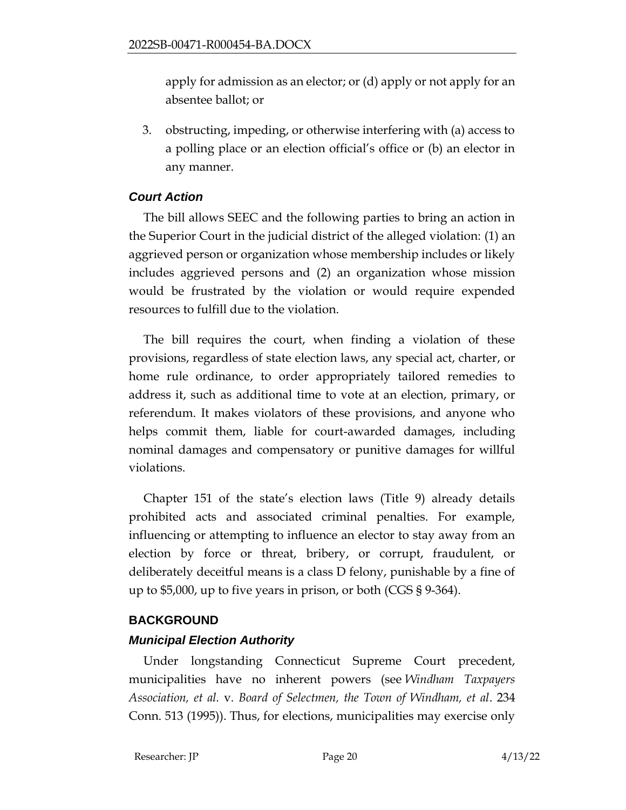apply for admission as an elector; or (d) apply or not apply for an absentee ballot; or

3. obstructing, impeding, or otherwise interfering with (a) access to a polling place or an election official's office or (b) an elector in any manner.

## *Court Action*

The bill allows SEEC and the following parties to bring an action in the Superior Court in the judicial district of the alleged violation: (1) an aggrieved person or organization whose membership includes or likely includes aggrieved persons and (2) an organization whose mission would be frustrated by the violation or would require expended resources to fulfill due to the violation.

The bill requires the court, when finding a violation of these provisions, regardless of state election laws, any special act, charter, or home rule ordinance, to order appropriately tailored remedies to address it, such as additional time to vote at an election, primary, or referendum. It makes violators of these provisions, and anyone who helps commit them, liable for court-awarded damages, including nominal damages and compensatory or punitive damages for willful violations.

Chapter 151 of the state's election laws (Title 9) already details prohibited acts and associated criminal penalties. For example, influencing or attempting to influence an elector to stay away from an election by force or threat, bribery, or corrupt, fraudulent, or deliberately deceitful means is a class D felony, punishable by a fine of up to \$5,000, up to five years in prison, or both (CGS § 9-364).

## **BACKGROUND**

## *Municipal Election Authority*

Under longstanding Connecticut Supreme Court precedent, municipalities have no inherent powers (see *Windham Taxpayers Association, et al.* v*. Board of Selectmen, the Town of Windham, et al*. 234 Conn. 513 (1995)). Thus, for elections, municipalities may exercise only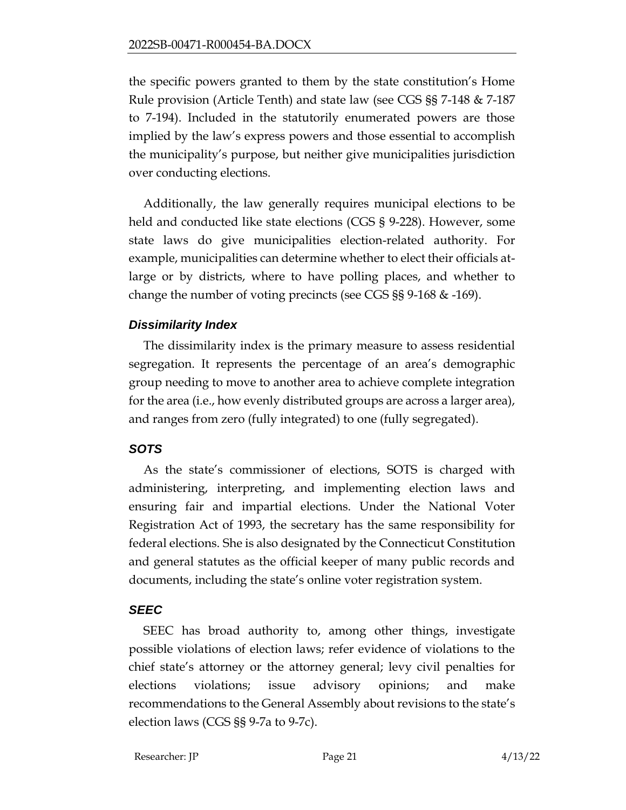the specific powers granted to them by the state constitution's Home Rule provision (Article Tenth) and state law (see CGS §§ 7-148 & 7-187 to 7-194). Included in the statutorily enumerated powers are those implied by the law's express powers and those essential to accomplish the municipality's purpose, but neither give municipalities jurisdiction over conducting elections.

Additionally, the law generally requires municipal elections to be held and conducted like state elections (CGS § 9-228). However, some state laws do give municipalities election-related authority. For example, municipalities can determine whether to elect their officials atlarge or by districts, where to have polling places, and whether to change the number of voting precincts (see CGS §§ 9-168 & -169).

## *Dissimilarity Index*

The dissimilarity index is the primary measure to assess residential segregation. It represents the percentage of an area's demographic group needing to move to another area to achieve complete integration for the area (i.e., how evenly distributed groups are across a larger area), and ranges from zero (fully integrated) to one (fully segregated).

# *SOTS*

As the state's commissioner of elections, SOTS is charged with administering, interpreting, and implementing election laws and ensuring fair and impartial elections. Under the National Voter Registration Act of 1993, the secretary has the same responsibility for federal elections. She is also designated by the Connecticut Constitution and general statutes as the official keeper of many public records and documents, including the state's online voter registration system.

# *SEEC*

SEEC has broad authority to, among other things, investigate possible violations of election laws; refer evidence of violations to the chief state's attorney or the attorney general; levy civil penalties for elections violations; issue advisory opinions; and make recommendations to the General Assembly about revisions to the state's election laws (CGS §§ 9-7a to 9-7c).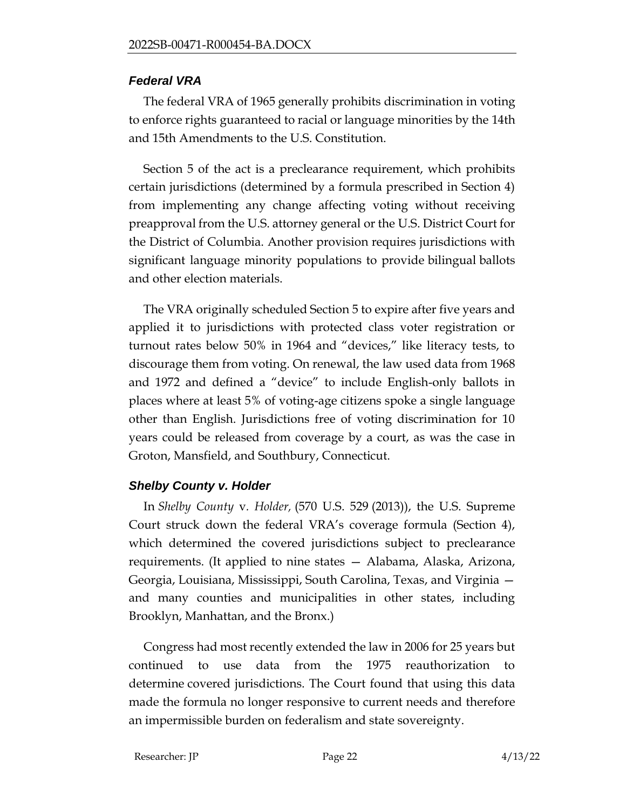#### *Federal VRA*

The federal VRA of 1965 generally prohibits [discrimination](https://en.wikipedia.org/wiki/Racial_discrimination) in [voting](https://en.wikipedia.org/wiki/Voting) to enforce [rights](https://en.wikipedia.org/wiki/Voting_rights_in_the_United_States) guaranteed to racial or language minorities by the [14th](https://en.wikipedia.org/wiki/Fourteenth_Amendment_to_the_United_States_Constitution) and [15th Amendments](https://en.wikipedia.org/wiki/Fifteenth_Amendment_to_the_United_States_Constitution) to the [U.S. Constitution.](https://en.wikipedia.org/wiki/United_States_Constitution)

Section 5 of the act is a preclearance requirement, which prohibits certain jurisdictions (determined by a formula prescribed in Section 4) from implementing any change affecting voting without receiving preapproval from the [U.S. attorney general](https://en.wikipedia.org/wiki/United_States_Attorney_General) or the [U.S. District](https://en.wikipedia.org/wiki/United_States_District_Court_for_the_District_of_Columbia) Court for the District [of Columbia.](https://en.wikipedia.org/wiki/United_States_District_Court_for_the_District_of_Columbia) Another provision requires jurisdictions with significant language minority populations to provide [bilingual](https://en.wikipedia.org/wiki/Bilingual) ballots and other election materials.

The VRA originally scheduled Section 5 to expire after five years and applied it to jurisdictions with protected class voter registration or turnout rates below 50% in 1964 and "devices," like literacy tests, to discourage them from voting. On renewal, the law used data from 1968 and 1972 and defined a "device" to include English-only ballots in places where at least 5% of voting-age citizens spoke a single language other than English. Jurisdictions free of voting discrimination for 10 years could be released from coverage by a court, as was the case in Groton, Mansfield, and Southbury, Connecticut.

## *[Shelby County v. Holder](https://en.wikipedia.org/wiki/Shelby_County_v._Holder)*

In *[Shelby County](https://en.wikipedia.org/wiki/Shelby_County_v._Holder)* v*. Holder,* (570 U.S. 529 (2013)), the U.S. Supreme Court struck down the federal VRA's coverage formula (Section 4), which determined the covered jurisdictions subject to preclearance requirements. (It applied to nine states — Alabama, Alaska, Arizona, Georgia, Louisiana, Mississippi, South Carolina, Texas, and Virginia and many counties and municipalities in other states, including Brooklyn, Manhattan, and the Bronx.)

Congress had most recently extended the law in 2006 for 25 years but continued to use data from the 1975 reauthorization to determine [covered](http://www.nytimes.com/interactive/2013/06/23/us/voting-rights-act-map.html) jurisdictions. The Court found that using this data made the formula no longer responsive to current needs and therefore an impermissible burden on [federalism](https://en.wikipedia.org/wiki/Federalism) and state sovereignty.